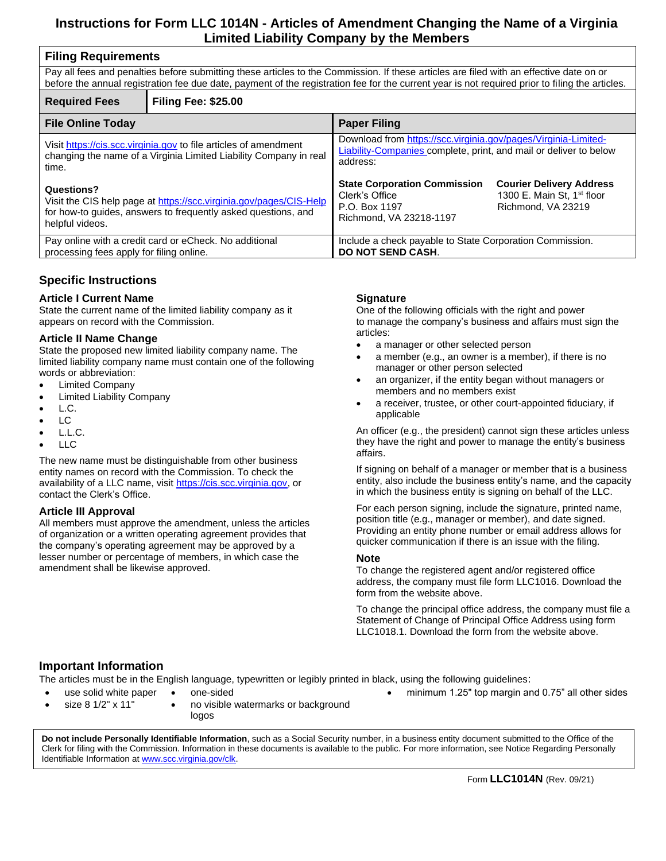# **Instructions for Form LLC 1014N - Articles of Amendment Changing the Name of a Virginia Limited Liability Company by the Members**

| <b>Filing Requirements</b>                                                                                                                                                                                                                                                                 |                            |                                                                                                                                                        |                                                                                                 |  |
|--------------------------------------------------------------------------------------------------------------------------------------------------------------------------------------------------------------------------------------------------------------------------------------------|----------------------------|--------------------------------------------------------------------------------------------------------------------------------------------------------|-------------------------------------------------------------------------------------------------|--|
| Pay all fees and penalties before submitting these articles to the Commission. If these articles are filed with an effective date on or<br>before the annual registration fee due date, payment of the registration fee for the current year is not required prior to filing the articles. |                            |                                                                                                                                                        |                                                                                                 |  |
| <b>Required Fees</b>                                                                                                                                                                                                                                                                       | <b>Filing Fee: \$25.00</b> |                                                                                                                                                        |                                                                                                 |  |
| <b>File Online Today</b>                                                                                                                                                                                                                                                                   |                            | <b>Paper Filing</b>                                                                                                                                    |                                                                                                 |  |
| Visit https://cis.scc.virginia.gov to file articles of amendment<br>changing the name of a Virginia Limited Liability Company in real<br>time.                                                                                                                                             |                            | Download from https://scc.virginia.gov/pages/Virginia-Limited-<br><b>Liability-Companies complete, print, and mail or deliver to below</b><br>address: |                                                                                                 |  |
| Questions?<br>Visit the CIS help page at https://scc.virginia.gov/pages/CIS-Help<br>for how-to guides, answers to frequently asked questions, and<br>helpful videos.                                                                                                                       |                            | <b>State Corporation Commission</b><br>Clerk's Office<br>P.O. Box 1197<br>Richmond, VA 23218-1197                                                      | <b>Courier Delivery Address</b><br>1300 E. Main St, 1 <sup>st</sup> floor<br>Richmond, VA 23219 |  |
| Pay online with a credit card or eCheck. No additional<br>processing fees apply for filing online.                                                                                                                                                                                         |                            | Include a check payable to State Corporation Commission.<br><b>DO NOT SEND CASH.</b>                                                                   |                                                                                                 |  |

# **Specific Instructions**

### **Article I Current Name**

State the current name of the limited liability company as it appears on record with the Commission.

#### **Article II Name Change**

State the proposed new limited liability company name. The limited liability company name must contain one of the following words or abbreviation:

- Limited Company
- Limited Liability Company
- L.C.
- LC
- $\bullet$  L.L.C.
- LLC

The new name must be distinguishable from other business entity names on record with the Commission. To check the availability of a LLC name, visit [https://cis.scc.virginia.gov,](https://cis.scc.virginia.gov/) or contact the Clerk's Office.

### **Article III Approval**

All members must approve the amendment, unless the articles of organization or a written operating agreement provides that the company's operating agreement may be approved by a lesser number or percentage of members, in which case the amendment shall be likewise approved.

### **Signature**

One of the following officials with the right and power to manage the company's business and affairs must sign the articles:

- a manager or other selected person
- a member (e.g., an owner is a member), if there is no manager or other person selected
- an organizer, if the entity began without managers or members and no members exist
- a receiver, trustee, or other court-appointed fiduciary, if applicable

An officer (e.g., the president) cannot sign these articles unless they have the right and power to manage the entity's business affairs.

If signing on behalf of a manager or member that is a business entity, also include the business entity's name, and the capacity in which the business entity is signing on behalf of the LLC.

For each person signing, include the signature, printed name, position title (e.g., manager or member), and date signed. Providing an entity phone number or email address allows for quicker communication if there is an issue with the filing.

#### **Note**

To change the registered agent and/or registered office address, the company must file form LLC1016. Download the form from the website above.

To change the principal office address, the company must file a Statement of Change of Principal Office Address using form LLC1018.1. Download the form from the website above.

## **Important Information**

The articles must be in the English language, typewritten or legibly printed in black, using the following guidelines:

- use solid white paper
- size 8 1/2" x 11" one-sided
	- no visible watermarks or background logos
- 

• minimum 1.25" top margin and 0.75" all other sides

 Clerk for filing with the Commission. Information in these documents is available to the public. For more information, see Notice Regarding Personally **Do not include Personally Identifiable Information**, such as a Social Security number, in a business entity document submitted to the Office of the Identifiable Information a[t www.scc.virginia.gov/clk.](http://www.scc.virginia.gov/clk)